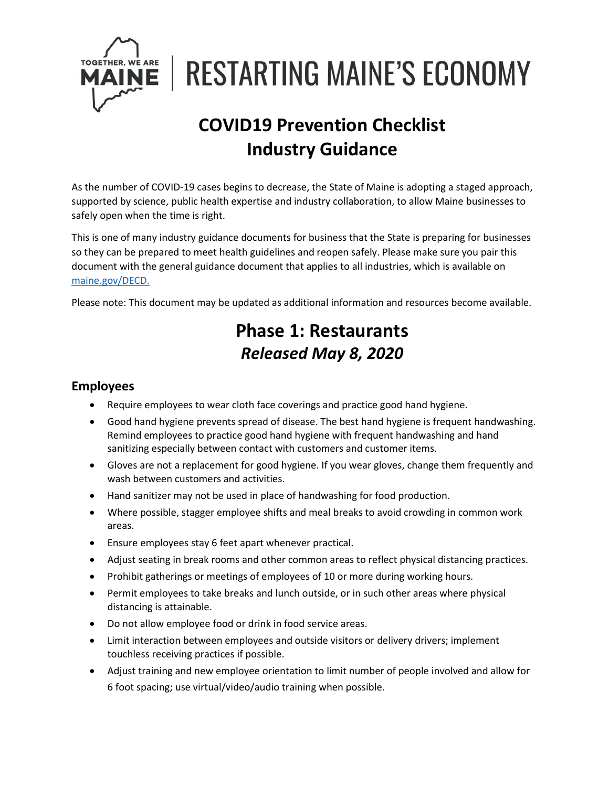

**RESTARTING MAINE'S ECONOMY** 

# **COVID19 Prevention Checklist Industry Guidance**

As the number of COVID-19 cases begins to decrease, the State of Maine is adopting a staged approach, supported by science, public health expertise and industry collaboration, to allow Maine businesses to safely open when the time is right.

This is one of many industry guidance documents for business that the State is preparing for businesses so they can be prepared to meet health guidelines and reopen safely. Please make sure you pair this document with the general guidance document that applies to all industries, which is available on [maine.gov/DECD.](https://www.maine.gov/DECD)

Please note: This document may be updated as additional information and resources become available.

## **Phase 1: Restaurants** *Released May 8, 2020*

#### **Employees**

- Require employees to wear cloth face coverings and practice good hand hygiene.
- Good hand hygiene prevents spread of disease. The best hand hygiene is frequent handwashing. Remind employees to practice good hand hygiene with frequent handwashing and hand sanitizing especially between contact with customers and customer items.
- Gloves are not a replacement for good hygiene. If you wear gloves, change them frequently and wash between customers and activities.
- Hand sanitizer may not be used in place of handwashing for food production.
- Where possible, stagger employee shifts and meal breaks to avoid crowding in common work areas.
- Ensure employees stay 6 feet apart whenever practical.
- Adjust seating in break rooms and other common areas to reflect physical distancing practices.
- Prohibit gatherings or meetings of employees of 10 or more during working hours.
- Permit employees to take breaks and lunch outside, or in such other areas where physical distancing is attainable.
- Do not allow employee food or drink in food service areas.
- Limit interaction between employees and outside visitors or delivery drivers; implement touchless receiving practices if possible.
- Adjust training and new employee orientation to limit number of people involved and allow for 6 foot spacing; use virtual/video/audio training when possible.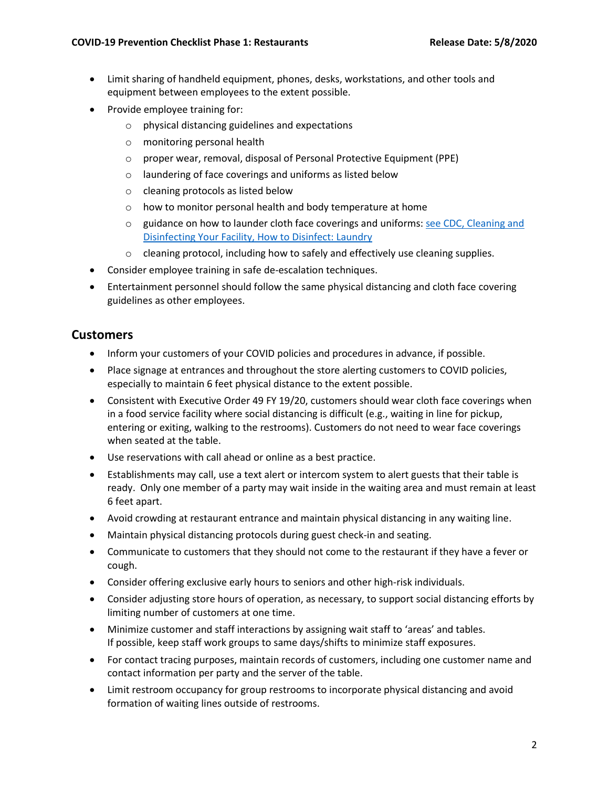- Limit sharing of handheld equipment, phones, desks, workstations, and other tools and equipment between employees to the extent possible.
- Provide employee training for:
	- o physical distancing guidelines and expectations
	- o monitoring personal health
	- o proper wear, removal, disposal of Personal Protective Equipment (PPE)
	- o laundering of face coverings and uniforms as listed below
	- o cleaning protocols as listed below
	- o how to monitor personal health and body temperature at home
	- o guidance on how to launder cloth face coverings and uniforms: [see CDC, Cleaning and](https://www.cdc.gov/coronavirus/2019-ncov/community/disinfecting-building-facility.html)  [Disinfecting Your Facility, How to Disinfect: Laundry](https://www.cdc.gov/coronavirus/2019-ncov/community/disinfecting-building-facility.html)
	- $\circ$  cleaning protocol, including how to safely and effectively use cleaning supplies.
- Consider employee training in safe de-escalation techniques.
- Entertainment personnel should follow the same physical distancing and cloth face covering guidelines as other employees.

### **Customers**

- Inform your customers of your COVID policies and procedures in advance, if possible.
- Place signage at entrances and throughout the store alerting customers to COVID policies, especially to maintain 6 feet physical distance to the extent possible.
- Consistent with Executive Order 49 FY 19/20, customers should wear cloth face coverings when in a food service facility where social distancing is difficult (e.g., waiting in line for pickup, entering or exiting, walking to the restrooms). Customers do not need to wear face coverings when seated at the table.
- Use reservations with call ahead or online as a best practice.
- Establishments may call, use a text alert or intercom system to alert guests that their table is ready. Only one member of a party may wait inside in the waiting area and must remain at least 6 feet apart.
- Avoid crowding at restaurant entrance and maintain physical distancing in any waiting line.
- Maintain physical distancing protocols during guest check-in and seating.
- Communicate to customers that they should not come to the restaurant if they have a fever or cough.
- Consider offering exclusive early hours to seniors and other high-risk individuals.
- Consider adjusting store hours of operation, as necessary, to support social distancing efforts by limiting number of customers at one time.
- Minimize customer and staff interactions by assigning wait staff to 'areas' and tables. If possible, keep staff work groups to same days/shifts to minimize staff exposures.
- For contact tracing purposes, maintain records of customers, including one customer name and contact information per party and the server of the table.
- Limit restroom occupancy for group restrooms to incorporate physical distancing and avoid formation of waiting lines outside of restrooms.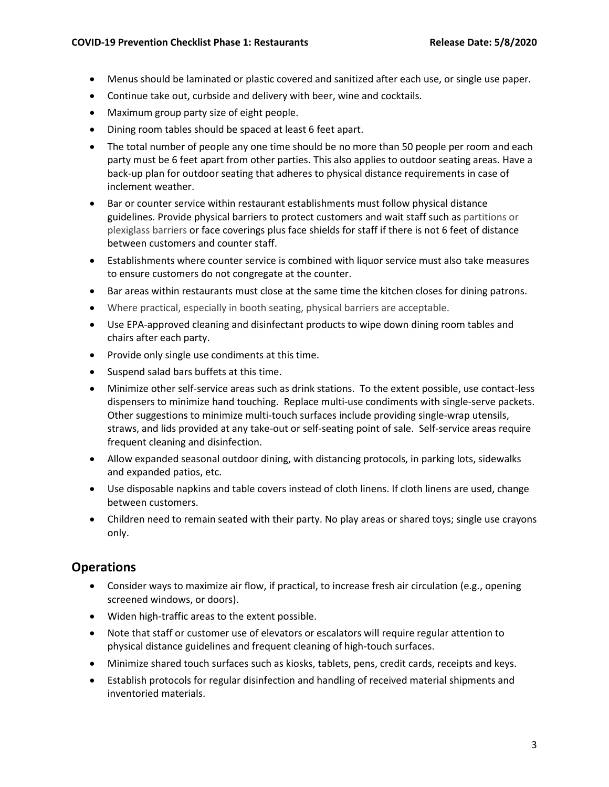- Menus should be laminated or plastic covered and sanitized after each use, or single use paper.
- Continue take out, curbside and delivery with beer, wine and cocktails.
- Maximum group party size of eight people.
- Dining room tables should be spaced at least 6 feet apart.
- The total number of people any one time should be no more than 50 people per room and each party must be 6 feet apart from other parties. This also applies to outdoor seating areas. Have a back-up plan for outdoor seating that adheres to physical distance requirements in case of inclement weather.
- Bar or counter service within restaurant establishments must follow physical distance guidelines. Provide physical barriers to protect customers and wait staff such as partitions or plexiglass barriers or face coverings plus face shields for staff if there is not 6 feet of distance between customers and counter staff.
- Establishments where counter service is combined with liquor service must also take measures to ensure customers do not congregate at the counter.
- Bar areas within restaurants must close at the same time the kitchen closes for dining patrons.
- Where practical, especially in booth seating, physical barriers are acceptable.
- Use EPA-approved cleaning and disinfectant products to wipe down dining room tables and chairs after each party.
- Provide only single use condiments at this time.
- Suspend salad bars buffets at this time.
- Minimize other self-service areas such as drink stations. To the extent possible, use contact-less dispensers to minimize hand touching. Replace multi-use condiments with single-serve packets. Other suggestions to minimize multi-touch surfaces include providing single-wrap utensils, straws, and lids provided at any take-out or self-seating point of sale. Self-service areas require frequent cleaning and disinfection.
- Allow expanded seasonal outdoor dining, with distancing protocols, in parking lots, sidewalks and expanded patios, etc.
- Use disposable napkins and table covers instead of cloth linens. If cloth linens are used, change between customers.
- Children need to remain seated with their party. No play areas or shared toys; single use crayons only.

#### **Operations**

- Consider ways to maximize air flow, if practical, to increase fresh air circulation (e.g., opening screened windows, or doors).
- Widen high-traffic areas to the extent possible.
- Note that staff or customer use of elevators or escalators will require regular attention to physical distance guidelines and frequent cleaning of high-touch surfaces.
- Minimize shared touch surfaces such as kiosks, tablets, pens, credit cards, receipts and keys.
- Establish protocols for regular disinfection and handling of received material shipments and inventoried materials.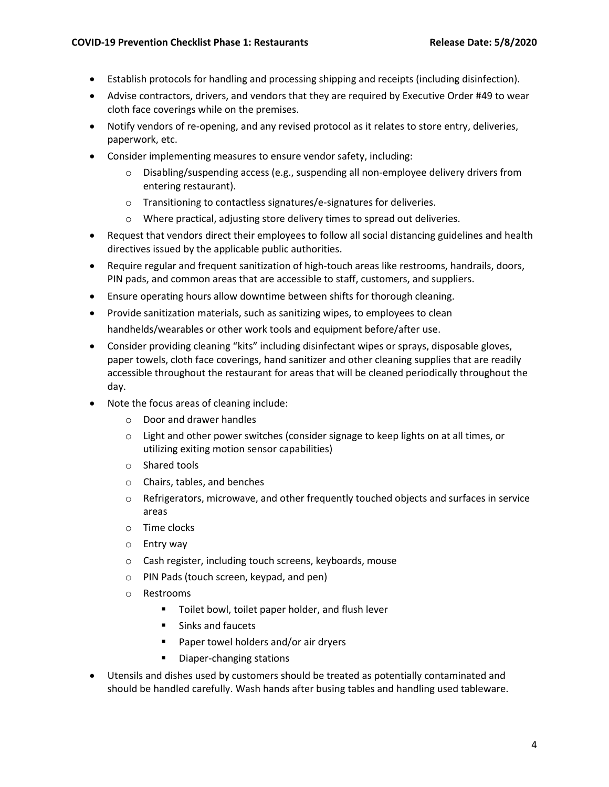- Establish protocols for handling and processing shipping and receipts (including disinfection).
- Advise contractors, drivers, and vendors that they are required by Executive Order #49 to wear cloth face coverings while on the premises.
- Notify vendors of re-opening, and any revised protocol as it relates to store entry, deliveries, paperwork, etc.
- Consider implementing measures to ensure vendor safety, including:
	- $\circ$  Disabling/suspending access (e.g., suspending all non-employee delivery drivers from entering restaurant).
	- o Transitioning to contactless signatures/e-signatures for deliveries.
	- o Where practical, adjusting store delivery times to spread out deliveries.
- Request that vendors direct their employees to follow all social distancing guidelines and health directives issued by the applicable public authorities.
- Require regular and frequent sanitization of high-touch areas like restrooms, handrails, doors, PIN pads, and common areas that are accessible to staff, customers, and suppliers.
- Ensure operating hours allow downtime between shifts for thorough cleaning.
- Provide sanitization materials, such as sanitizing wipes, to employees to clean handhelds/wearables or other work tools and equipment before/after use.
- Consider providing cleaning "kits" including disinfectant wipes or sprays, disposable gloves, paper towels, cloth face coverings, hand sanitizer and other cleaning supplies that are readily accessible throughout the restaurant for areas that will be cleaned periodically throughout the day.
- Note the focus areas of cleaning include:
	- o Door and drawer handles
	- $\circ$  Light and other power switches (consider signage to keep lights on at all times, or utilizing exiting motion sensor capabilities)
	- o Shared tools
	- o Chairs, tables, and benches
	- $\circ$  Refrigerators, microwave, and other frequently touched objects and surfaces in service areas
	- o Time clocks
	- o Entry way
	- o Cash register, including touch screens, keyboards, mouse
	- o PIN Pads (touch screen, keypad, and pen)
	- o Restrooms
		- Toilet bowl, toilet paper holder, and flush lever
		- Sinks and faucets
		- Paper towel holders and/or air dryers
		- Diaper-changing stations
- Utensils and dishes used by customers should be treated as potentially contaminated and should be handled carefully. Wash hands after busing tables and handling used tableware.